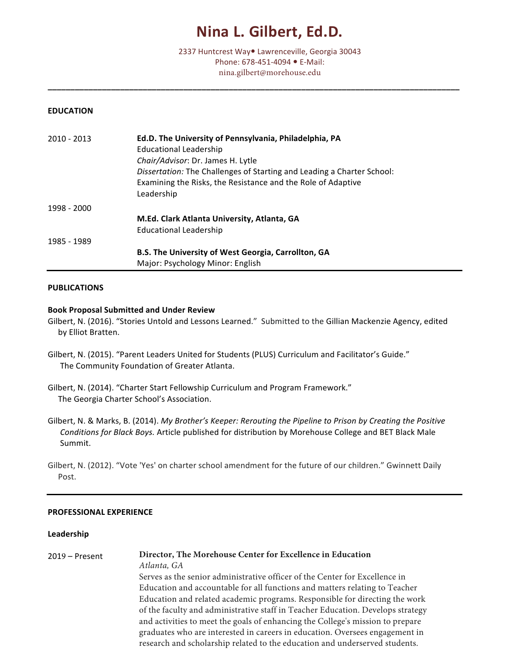# **Nina L. Gilbert, Ed.D.**

2337 Huntcrest Way<sup>®</sup> Lawrenceville, Georgia 30043 Phone: 678-451-4094 • E-Mail: nina.gilbert@morehouse.edu

**\_\_\_\_\_\_\_\_\_\_\_\_\_\_\_\_\_\_\_\_\_\_\_\_\_\_\_\_\_\_\_\_\_\_\_\_\_\_\_\_\_\_\_\_\_\_\_\_\_\_\_\_\_\_\_\_\_\_\_\_\_\_\_\_\_\_\_\_\_\_\_\_\_\_\_\_\_\_\_\_\_\_\_\_\_\_\_\_\_\_\_**

#### **EDUCATION**

| 2010 - 2013 | Ed.D. The University of Pennsylvania, Philadelphia, PA<br><b>Educational Leadership</b>                                                              |
|-------------|------------------------------------------------------------------------------------------------------------------------------------------------------|
|             | Chair/Advisor: Dr. James H. Lytle                                                                                                                    |
|             | Dissertation: The Challenges of Starting and Leading a Charter School:<br>Examining the Risks, the Resistance and the Role of Adaptive<br>Leadership |
| 1998 - 2000 |                                                                                                                                                      |
|             | M.Ed. Clark Atlanta University, Atlanta, GA                                                                                                          |
|             | <b>Educational Leadership</b>                                                                                                                        |
| 1985 - 1989 |                                                                                                                                                      |
|             | B.S. The University of West Georgia, Carrollton, GA                                                                                                  |
|             | Major: Psychology Minor: English                                                                                                                     |

#### **PUBLICATIONS**

#### **Book Proposal Submitted and Under Review**

- Gilbert, N. (2016). "Stories Untold and Lessons Learned." Submitted to the Gillian Mackenzie Agency, edited by Elliot Bratten.
- Gilbert, N. (2015). "Parent Leaders United for Students (PLUS) Curriculum and Facilitator's Guide." The Community Foundation of Greater Atlanta.
- Gilbert, N. (2014). "Charter Start Fellowship Curriculum and Program Framework." The Georgia Charter School's Association.
- Gilbert, N. & Marks, B. (2014). *My Brother's Keeper: Rerouting the Pipeline to Prison by Creating the Positive Conditions for Black Boys.* Article published for distribution by Morehouse College and BET Black Male Summit.

Gilbert, N. (2012). "Vote 'Yes' on charter school amendment for the future of our children." Gwinnett Daily Post.

## **PROFESSIONAL EXPERIENCE**

#### **Leadership**

| $2019 -$ Present | Director, The Morehouse Center for Excellence in Education                      |
|------------------|---------------------------------------------------------------------------------|
|                  | Atlanta, GA                                                                     |
|                  | Serves as the senior administrative officer of the Center for Excellence in     |
|                  | Education and accountable for all functions and matters relating to Teacher     |
|                  | Education and related academic programs. Responsible for directing the work     |
|                  | of the faculty and administrative staff in Teacher Education. Develops strategy |
|                  | and activities to meet the goals of enhancing the College's mission to prepare  |
|                  | graduates who are interested in careers in education. Oversees engagement in    |
|                  | research and scholarship related to the education and underserved students.     |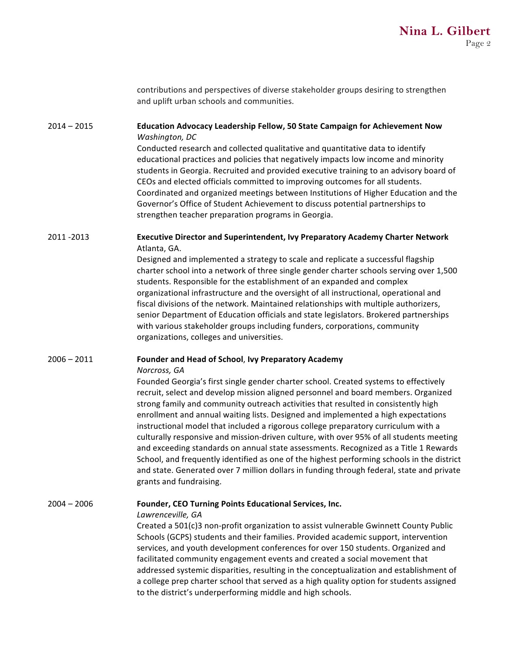|               | contributions and perspectives of diverse stakeholder groups desiring to strengthen<br>and uplift urban schools and communities.                                                                                                                                                                                                                                                                                                                                                                                                                                                                                                                                                                                                                                                                                                                                     |
|---------------|----------------------------------------------------------------------------------------------------------------------------------------------------------------------------------------------------------------------------------------------------------------------------------------------------------------------------------------------------------------------------------------------------------------------------------------------------------------------------------------------------------------------------------------------------------------------------------------------------------------------------------------------------------------------------------------------------------------------------------------------------------------------------------------------------------------------------------------------------------------------|
| $2014 - 2015$ | Education Advocacy Leadership Fellow, 50 State Campaign for Achievement Now<br>Washington, DC                                                                                                                                                                                                                                                                                                                                                                                                                                                                                                                                                                                                                                                                                                                                                                        |
|               | Conducted research and collected qualitative and quantitative data to identify<br>educational practices and policies that negatively impacts low income and minority<br>students in Georgia. Recruited and provided executive training to an advisory board of<br>CEOs and elected officials committed to improving outcomes for all students.<br>Coordinated and organized meetings between Institutions of Higher Education and the<br>Governor's Office of Student Achievement to discuss potential partnerships to<br>strengthen teacher preparation programs in Georgia.                                                                                                                                                                                                                                                                                        |
| 2011 -2013    | Executive Director and Superintendent, Ivy Preparatory Academy Charter Network<br>Atlanta, GA.                                                                                                                                                                                                                                                                                                                                                                                                                                                                                                                                                                                                                                                                                                                                                                       |
|               | Designed and implemented a strategy to scale and replicate a successful flagship<br>charter school into a network of three single gender charter schools serving over 1,500<br>students. Responsible for the establishment of an expanded and complex<br>organizational infrastructure and the oversight of all instructional, operational and<br>fiscal divisions of the network. Maintained relationships with multiple authorizers,<br>senior Department of Education officials and state legislators. Brokered partnerships<br>with various stakeholder groups including funders, corporations, community<br>organizations, colleges and universities.                                                                                                                                                                                                           |
| 2006 – 2011   | Founder and Head of School, Ivy Preparatory Academy                                                                                                                                                                                                                                                                                                                                                                                                                                                                                                                                                                                                                                                                                                                                                                                                                  |
|               | Norcross, GA<br>Founded Georgia's first single gender charter school. Created systems to effectively<br>recruit, select and develop mission aligned personnel and board members. Organized<br>strong family and community outreach activities that resulted in consistently high<br>enrollment and annual waiting lists. Designed and implemented a high expectations<br>instructional model that included a rigorous college preparatory curriculum with a<br>culturally responsive and mission-driven culture, with over 95% of all students meeting<br>and exceeding standards on annual state assessments. Recognized as a Title 1 Rewards<br>School, and frequently identified as one of the highest performing schools in the district<br>and state. Generated over 7 million dollars in funding through federal, state and private<br>grants and fundraising. |
| $2004 - 2006$ | Founder, CEO Turning Points Educational Services, Inc.<br>Lawrenceville, GA                                                                                                                                                                                                                                                                                                                                                                                                                                                                                                                                                                                                                                                                                                                                                                                          |

Created a 501(c)3 non-profit organization to assist vulnerable Gwinnett County Public Schools (GCPS) students and their families. Provided academic support, intervention services, and youth development conferences for over 150 students. Organized and facilitated community engagement events and created a social movement that addressed systemic disparities, resulting in the conceptualization and establishment of a college prep charter school that served as a high quality option for students assigned to the district's underperforming middle and high schools.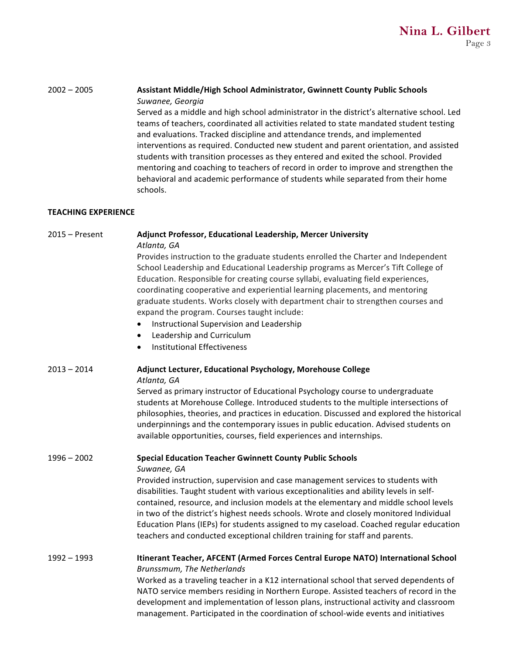# 2002 - 2005 **Assistant Middle/High School Administrator, Gwinnett County Public Schools** *Suwanee, Georgia*

Served as a middle and high school administrator in the district's alternative school. Led teams of teachers, coordinated all activities related to state mandated student testing and evaluations. Tracked discipline and attendance trends, and implemented interventions as required. Conducted new student and parent orientation, and assisted students with transition processes as they entered and exited the school. Provided mentoring and coaching to teachers of record in order to improve and strengthen the behavioral and academic performance of students while separated from their home schools. 

# **TEACHING EXPERIENCE**

| $2015 -$ Present | Adjunct Professor, Educational Leadership, Mercer University<br>Atlanta, GA                                                                                                                                                                                                                                                                                                                                                                                                                                                                                                        |
|------------------|------------------------------------------------------------------------------------------------------------------------------------------------------------------------------------------------------------------------------------------------------------------------------------------------------------------------------------------------------------------------------------------------------------------------------------------------------------------------------------------------------------------------------------------------------------------------------------|
|                  | Provides instruction to the graduate students enrolled the Charter and Independent<br>School Leadership and Educational Leadership programs as Mercer's Tift College of<br>Education. Responsible for creating course syllabi, evaluating field experiences,<br>coordinating cooperative and experiential learning placements, and mentoring<br>graduate students. Works closely with department chair to strengthen courses and<br>expand the program. Courses taught include:<br>Instructional Supervision and Leadership<br>$\bullet$<br>Leadership and Curriculum<br>$\bullet$ |
|                  | <b>Institutional Effectiveness</b><br>$\bullet$                                                                                                                                                                                                                                                                                                                                                                                                                                                                                                                                    |
| $2013 - 2014$    | Adjunct Lecturer, Educational Psychology, Morehouse College<br>Atlanta, GA                                                                                                                                                                                                                                                                                                                                                                                                                                                                                                         |
|                  | Served as primary instructor of Educational Psychology course to undergraduate<br>students at Morehouse College. Introduced students to the multiple intersections of<br>philosophies, theories, and practices in education. Discussed and explored the historical<br>underpinnings and the contemporary issues in public education. Advised students on<br>available opportunities, courses, field experiences and internships.                                                                                                                                                   |
| $1996 - 2002$    | <b>Special Education Teacher Gwinnett County Public Schools</b>                                                                                                                                                                                                                                                                                                                                                                                                                                                                                                                    |
|                  | Suwanee, GA<br>Provided instruction, supervision and case management services to students with<br>disabilities. Taught student with various exceptionalities and ability levels in self-<br>contained, resource, and inclusion models at the elementary and middle school levels<br>in two of the district's highest needs schools. Wrote and closely monitored Individual<br>Education Plans (IEPs) for students assigned to my caseload. Coached regular education<br>teachers and conducted exceptional children training for staff and parents.                                |
| $1992 - 1993$    | Itinerant Teacher, AFCENT (Armed Forces Central Europe NATO) International School<br>Brunssmum, The Netherlands                                                                                                                                                                                                                                                                                                                                                                                                                                                                    |
|                  | Worked as a traveling teacher in a K12 international school that served dependents of<br>NATO service members residing in Northern Europe. Assisted teachers of record in the<br>development and implementation of lesson plans, instructional activity and classroom<br>management. Participated in the coordination of school-wide events and initiatives                                                                                                                                                                                                                        |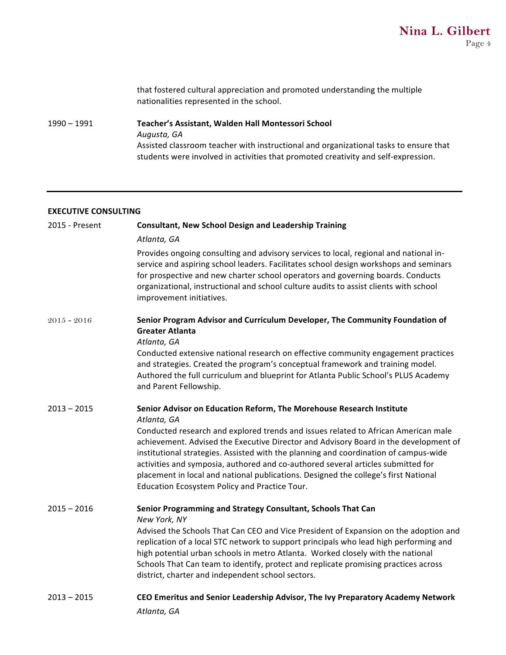that fostered cultural appreciation and promoted understanding the multiple nationalities represented in the school.

1990 - 1991 **Teacher's Assistant, Walden Hall Montessori School** *Augusta, GA* Assisted classroom teacher with instructional and organizational tasks to ensure that students were involved in activities that promoted creativity and self-expression.

#### **EXECUTIVE CONSULTING**

| 2015 - Present | <b>Consultant, New School Design and Leadership Training</b>                                                                                                                                                                                                                                                                                                                                                                                                                                   |
|----------------|------------------------------------------------------------------------------------------------------------------------------------------------------------------------------------------------------------------------------------------------------------------------------------------------------------------------------------------------------------------------------------------------------------------------------------------------------------------------------------------------|
|                | Atlanta, GA                                                                                                                                                                                                                                                                                                                                                                                                                                                                                    |
|                | Provides ongoing consulting and advisory services to local, regional and national in-<br>service and aspiring school leaders. Facilitates school design workshops and seminars<br>for prospective and new charter school operators and governing boards. Conducts<br>organizational, instructional and school culture audits to assist clients with school<br>improvement initiatives.                                                                                                         |
| $2015 - 2016$  | Senior Program Advisor and Curriculum Developer, The Community Foundation of<br><b>Greater Atlanta</b><br>Atlanta, GA                                                                                                                                                                                                                                                                                                                                                                          |
|                | Conducted extensive national research on effective community engagement practices<br>and strategies. Created the program's conceptual framework and training model.<br>Authored the full curriculum and blueprint for Atlanta Public School's PLUS Academy<br>and Parent Fellowship.                                                                                                                                                                                                           |
| $2013 - 2015$  | Senior Advisor on Education Reform, The Morehouse Research Institute<br>Atlanta, GA                                                                                                                                                                                                                                                                                                                                                                                                            |
|                | Conducted research and explored trends and issues related to African American male<br>achievement. Advised the Executive Director and Advisory Board in the development of<br>institutional strategies. Assisted with the planning and coordination of campus-wide<br>activities and symposia, authored and co-authored several articles submitted for<br>placement in local and national publications. Designed the college's first National<br>Education Ecosystem Policy and Practice Tour. |
| $2015 - 2016$  | Senior Programming and Strategy Consultant, Schools That Can<br>New York, NY                                                                                                                                                                                                                                                                                                                                                                                                                   |
|                | Advised the Schools That Can CEO and Vice President of Expansion on the adoption and<br>replication of a local STC network to support principals who lead high performing and<br>high potential urban schools in metro Atlanta. Worked closely with the national<br>Schools That Can team to identify, protect and replicate promising practices across<br>district, charter and independent school sectors.                                                                                   |
| $2013 - 2015$  | CEO Emeritus and Senior Leadership Advisor, The Ivy Preparatory Academy Network<br>Atlanta, GA                                                                                                                                                                                                                                                                                                                                                                                                 |
|                |                                                                                                                                                                                                                                                                                                                                                                                                                                                                                                |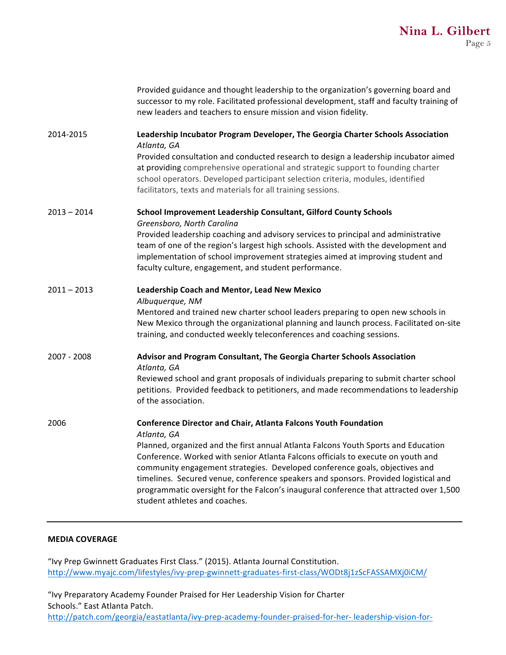|               | Provided guidance and thought leadership to the organization's governing board and<br>successor to my role. Facilitated professional development, staff and faculty training of<br>new leaders and teachers to ensure mission and vision fidelity.                                                                                                                                                                                                                                                                                                               |
|---------------|------------------------------------------------------------------------------------------------------------------------------------------------------------------------------------------------------------------------------------------------------------------------------------------------------------------------------------------------------------------------------------------------------------------------------------------------------------------------------------------------------------------------------------------------------------------|
| 2014-2015     | Leadership Incubator Program Developer, The Georgia Charter Schools Association<br>Atlanta, GA<br>Provided consultation and conducted research to design a leadership incubator aimed<br>at providing comprehensive operational and strategic support to founding charter<br>school operators. Developed participant selection criteria, modules, identified<br>facilitators, texts and materials for all training sessions.                                                                                                                                     |
| $2013 - 2014$ | School Improvement Leadership Consultant, Gilford County Schools<br>Greensboro, North Carolina<br>Provided leadership coaching and advisory services to principal and administrative<br>team of one of the region's largest high schools. Assisted with the development and<br>implementation of school improvement strategies aimed at improving student and<br>faculty culture, engagement, and student performance.                                                                                                                                           |
| $2011 - 2013$ | Leadership Coach and Mentor, Lead New Mexico<br>Albuquerque, NM<br>Mentored and trained new charter school leaders preparing to open new schools in<br>New Mexico through the organizational planning and launch process. Facilitated on-site<br>training, and conducted weekly teleconferences and coaching sessions.                                                                                                                                                                                                                                           |
| 2007 - 2008   | Advisor and Program Consultant, The Georgia Charter Schools Association<br>Atlanta, GA<br>Reviewed school and grant proposals of individuals preparing to submit charter school<br>petitions. Provided feedback to petitioners, and made recommendations to leadership<br>of the association.                                                                                                                                                                                                                                                                    |
| 2006          | <b>Conference Director and Chair, Atlanta Falcons Youth Foundation</b><br>Atlanta, GA<br>Planned, organized and the first annual Atlanta Falcons Youth Sports and Education<br>Conference. Worked with senior Atlanta Falcons officials to execute on youth and<br>community engagement strategies. Developed conference goals, objectives and<br>timelines. Secured venue, conference speakers and sponsors. Provided logistical and<br>programmatic oversight for the Falcon's inaugural conference that attracted over 1,500<br>student athletes and coaches. |

## **MEDIA COVERAGE**

"Ivy Prep Gwinnett Graduates First Class." (2015). Atlanta Journal Constitution. http://www.myajc.com/lifestyles/ivy-prep-gwinnett-graduates-first-class/WODt8j1zScFASSAMXj0iCM/

"Ivy Preparatory Academy Founder Praised for Her Leadership Vision for Charter Schools." East Atlanta Patch. http://patch.com/georgia/eastatlanta/ivy-prep-academy-founder-praised-for-her- leadership-vision-for-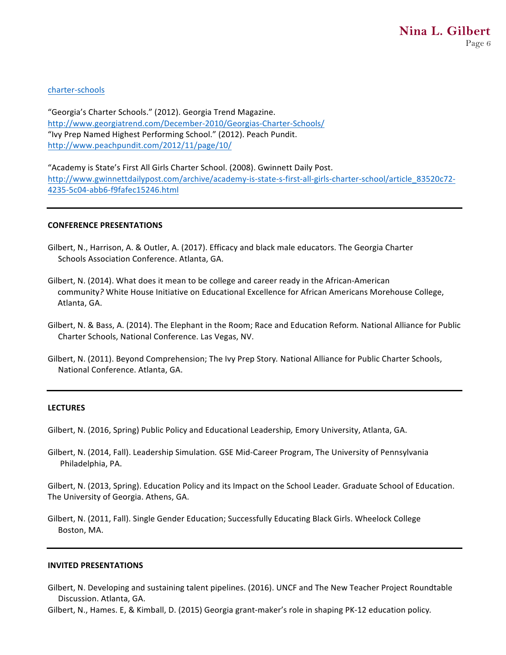# charter-schools

"Georgia's Charter Schools." (2012). Georgia Trend Magazine. http://www.georgiatrend.com/December-2010/Georgias-Charter-Schools/ "Ivy Prep Named Highest Performing School." (2012). Peach Pundit. http://www.peachpundit.com/2012/11/page/10/

"Academy is State's First All Girls Charter School. (2008). Gwinnett Daily Post. http://www.gwinnettdailypost.com/archive/academy-is-state-s-first-all-girls-charter-school/article\_83520c72- 4235-5c04-abb6-f9fafec15246.html

#### **CONFERENCE PRESENTATIONS**

- Gilbert, N., Harrison, A. & Outler, A. (2017). Efficacy and black male educators. The Georgia Charter Schools Association Conference. Atlanta, GA.
- Gilbert, N. (2014). What does it mean to be college and career ready in the African-American community? White House Initiative on Educational Excellence for African Americans Morehouse College, Atlanta, GA.
- Gilbert, N. & Bass, A. (2014). The Elephant in the Room; Race and Education Reform. National Alliance for Public Charter Schools, National Conference. Las Vegas, NV.
- Gilbert, N. (2011). Beyond Comprehension; The Ivy Prep Story. National Alliance for Public Charter Schools, National Conference. Atlanta, GA.

#### **LECTURES**

Gilbert, N. (2016, Spring) Public Policy and Educational Leadership, Emory University, Atlanta, GA.

Gilbert, N. (2014, Fall). Leadership Simulation. GSE Mid-Career Program, The University of Pennsylvania Philadelphia, PA.

Gilbert, N. (2013, Spring). Education Policy and its Impact on the School Leader. Graduate School of Education. The University of Georgia. Athens, GA.

Gilbert, N. (2011, Fall). Single Gender Education; Successfully Educating Black Girls. Wheelock College Boston, MA.

#### **INVITED PRESENTATIONS**

Gilbert, N. Developing and sustaining talent pipelines. (2016). UNCF and The New Teacher Project Roundtable Discussion. Atlanta, GA.

Gilbert, N., Hames. E, & Kimball, D. (2015) Georgia grant-maker's role in shaping PK-12 education policy.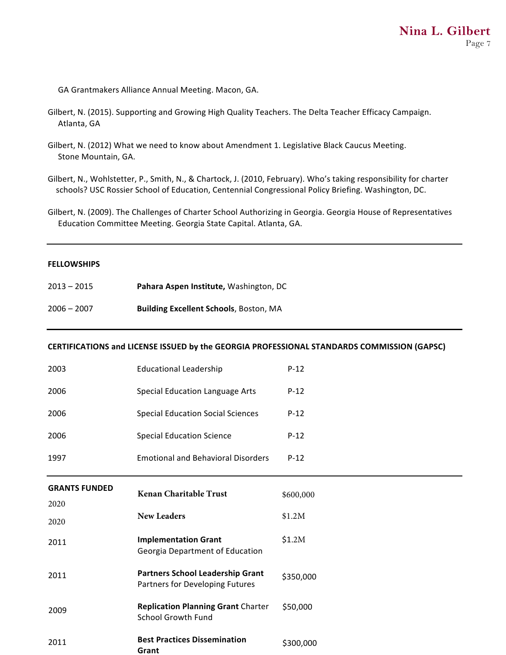GA Grantmakers Alliance Annual Meeting. Macon, GA.

- Gilbert, N. (2015). Supporting and Growing High Quality Teachers. The Delta Teacher Efficacy Campaign. Atlanta, GA
- Gilbert, N. (2012) What we need to know about Amendment 1. Legislative Black Caucus Meeting. Stone Mountain, GA.

Gilbert, N., Wohlstetter, P., Smith, N., & Chartock, J. (2010, February). Who's taking responsibility for charter schools? USC Rossier School of Education, Centennial Congressional Policy Briefing. Washington, DC.

Gilbert, N. (2009). The Challenges of Charter School Authorizing in Georgia. Georgia House of Representatives Education Committee Meeting. Georgia State Capital. Atlanta, GA.

## **FELLOWSHIPS**

| $2013 - 2015$ | Pahara Aspen Institute, Washington, DC        |
|---------------|-----------------------------------------------|
| 2006 – 2007   | <b>Building Excellent Schools, Boston, MA</b> |

## CERTIFICATIONS and LICENSE ISSUED by the GEORGIA PROFESSIONAL STANDARDS COMMISSION (GAPSC)

| 2003                 | <b>Educational Leadership</b>                                              | $P-12$    |
|----------------------|----------------------------------------------------------------------------|-----------|
| 2006                 | <b>Special Education Language Arts</b>                                     | $P-12$    |
| 2006                 | <b>Special Education Social Sciences</b>                                   | $P-12$    |
| 2006                 | <b>Special Education Science</b>                                           | $P-12$    |
| 1997                 | <b>Emotional and Behavioral Disorders</b>                                  | $P-12$    |
| <b>GRANTS FUNDED</b> | Kenan Charitable Trust                                                     | \$600,000 |
| 2020                 |                                                                            |           |
| 2020                 | <b>New Leaders</b>                                                         | \$1.2M    |
| 2011                 | <b>Implementation Grant</b><br>Georgia Department of Education             | \$1.2M    |
| 2011                 | <b>Partners School Leadership Grant</b><br>Partners for Developing Futures | \$350,000 |
| 2009                 | <b>Replication Planning Grant Charter</b><br><b>School Growth Fund</b>     | \$50,000  |
| 2011                 | <b>Best Practices Dissemination</b><br>Grant                               | \$300,000 |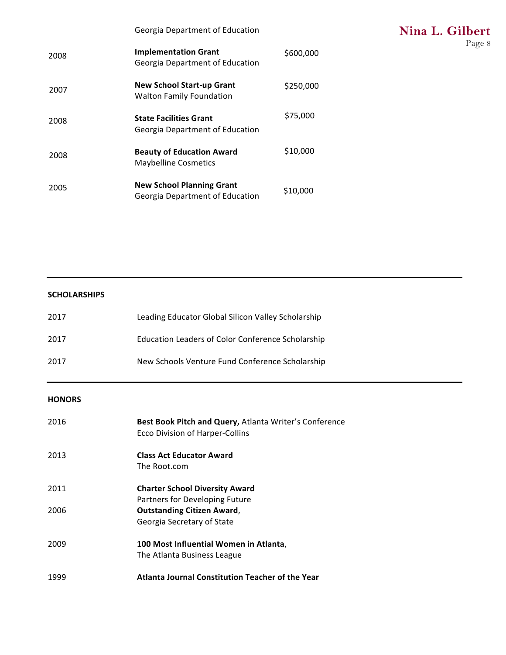|  | Georgia Department of Education |  |
|--|---------------------------------|--|
|--|---------------------------------|--|

| 2008 | <b>Implementation Grant</b><br>Georgia Department of Education      | \$600,000 |
|------|---------------------------------------------------------------------|-----------|
| 2007 | <b>New School Start-up Grant</b><br><b>Walton Family Foundation</b> | \$250,000 |
| 2008 | <b>State Facilities Grant</b><br>Georgia Department of Education    | \$75,000  |
| 2008 | <b>Beauty of Education Award</b><br><b>Maybelline Cosmetics</b>     | \$10,000  |
| 2005 | <b>New School Planning Grant</b><br>Georgia Department of Education | \$10,000  |

# **SCHOLARSHIPS**

| 2017 | Leading Educator Global Silicon Valley Scholarship       |
|------|----------------------------------------------------------|
| 2017 | <b>Education Leaders of Color Conference Scholarship</b> |
| 2017 | New Schools Venture Fund Conference Scholarship          |

# **HONORS**

| 2016 | <b>Best Book Pitch and Query, Atlanta Writer's Conference</b><br><b>Ecco Division of Harper-Collins</b> |
|------|---------------------------------------------------------------------------------------------------------|
| 2013 | <b>Class Act Educator Award</b><br>The Root.com                                                         |
| 2011 | <b>Charter School Diversity Award</b><br>Partners for Developing Future                                 |
| 2006 | <b>Outstanding Citizen Award,</b><br>Georgia Secretary of State                                         |
| 2009 | 100 Most Influential Women in Atlanta,<br>The Atlanta Business League                                   |
| 1999 | Atlanta Journal Constitution Teacher of the Year                                                        |

**Nina L. Gilbert** Page 8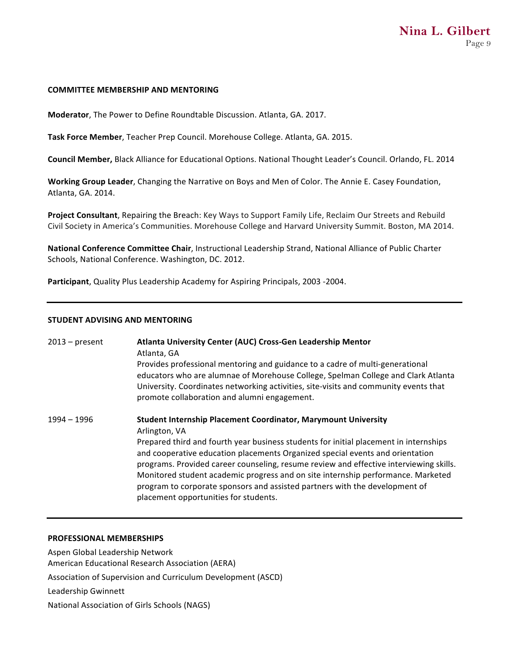#### **COMMITTEE MEMBERSHIP AND MENTORING**

**Moderator**, The Power to Define Roundtable Discussion. Atlanta, GA. 2017.

**Task Force Member**, Teacher Prep Council. Morehouse College. Atlanta, GA. 2015.

**Council Member, Black Alliance for Educational Options. National Thought Leader's Council. Orlando, FL. 2014** 

**Working Group Leader**, Changing the Narrative on Boys and Men of Color. The Annie E. Casey Foundation, Atlanta, GA. 2014.

**Project Consultant**, Repairing the Breach: Key Ways to Support Family Life, Reclaim Our Streets and Rebuild Civil Society in America's Communities. Morehouse College and Harvard University Summit. Boston, MA 2014.

**National Conference Committee Chair**, Instructional Leadership Strand, National Alliance of Public Charter Schools, National Conference. Washington, DC. 2012.

Participant, Quality Plus Leadership Academy for Aspiring Principals, 2003 -2004.

## **STUDENT ADVISING AND MENTORING**

| 2013 – present | Atlanta University Center (AUC) Cross-Gen Leadership Mentor<br>Atlanta, GA<br>Provides professional mentoring and guidance to a cadre of multi-generational<br>educators who are alumnae of Morehouse College, Spelman College and Clark Atlanta<br>University. Coordinates networking activities, site-visits and community events that<br>promote collaboration and alumni engagement.                                                                                                                                                                               |
|----------------|------------------------------------------------------------------------------------------------------------------------------------------------------------------------------------------------------------------------------------------------------------------------------------------------------------------------------------------------------------------------------------------------------------------------------------------------------------------------------------------------------------------------------------------------------------------------|
| 1994 – 1996    | <b>Student Internship Placement Coordinator, Marymount University</b><br>Arlington, VA<br>Prepared third and fourth year business students for initial placement in internships<br>and cooperative education placements Organized special events and orientation<br>programs. Provided career counseling, resume review and effective interviewing skills.<br>Monitored student academic progress and on site internship performance. Marketed<br>program to corporate sponsors and assisted partners with the development of<br>placement opportunities for students. |

#### **PROFESSIONAL MEMBERSHIPS**

Aspen Global Leadership Network American Educational Research Association (AERA) Association of Supervision and Curriculum Development (ASCD) Leadership Gwinnett National Association of Girls Schools (NAGS)